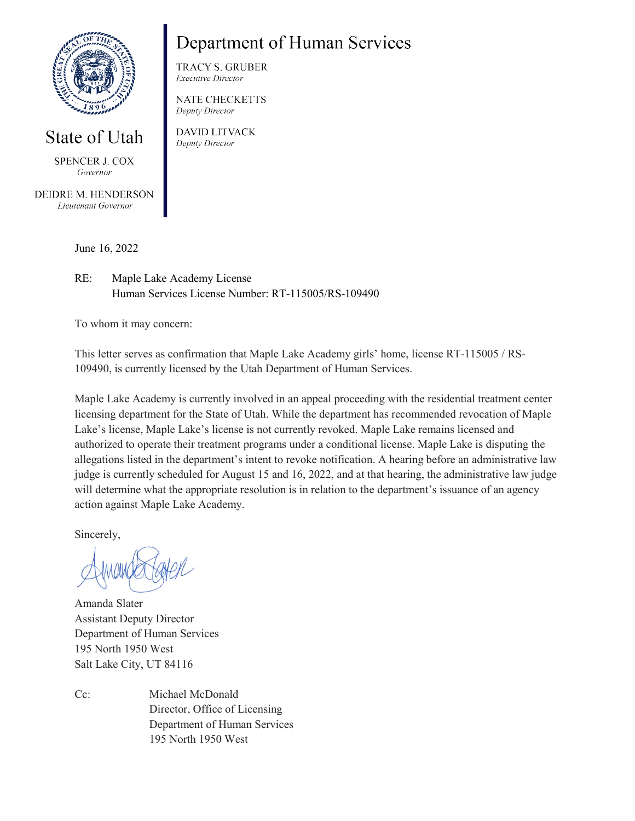

## State of Utah

SPENCER J. COX Governor

DEIDRE M. HENDERSON Lieutenant Governor

## Department of Human Services

**TRACY S. GRUBER Executive Director** 

**NATE CHECKETTS** Deputy Director

**DAVID LITVACK** Deputy Director

June 16, 2022

RE: Maple Lake Academy License Human Services License Number: RT-115005/RS-109490

To whom it may concern:

This letter serves as confirmation that Maple Lake Academy girls' home, license RT-115005 / RS-109490, is currently licensed by the Utah Department of Human Services.

Maple Lake Academy is currently involved in an appeal proceeding with the residential treatment center licensing department for the State of Utah. While the department has recommended revocation of Maple Lake's license, Maple Lake's license is not currently revoked. Maple Lake remains licensed and authorized to operate their treatment programs under a conditional license. Maple Lake is disputing the allegations listed in the department's intent to revoke notification. A hearing before an administrative law judge is currently scheduled for August 15 and 16, 2022, and at that hearing, the administrative law judge will determine what the appropriate resolution is in relation to the department's issuance of an agency action against Maple Lake Academy.

Sincerely,

Amanda Slater Assistant Deputy Director Department of Human Services 195 North 1950 West Salt Lake City, UT 84116

Cc: Michael McDonald Director, Office of Licensing Department of Human Services 195 North 1950 West